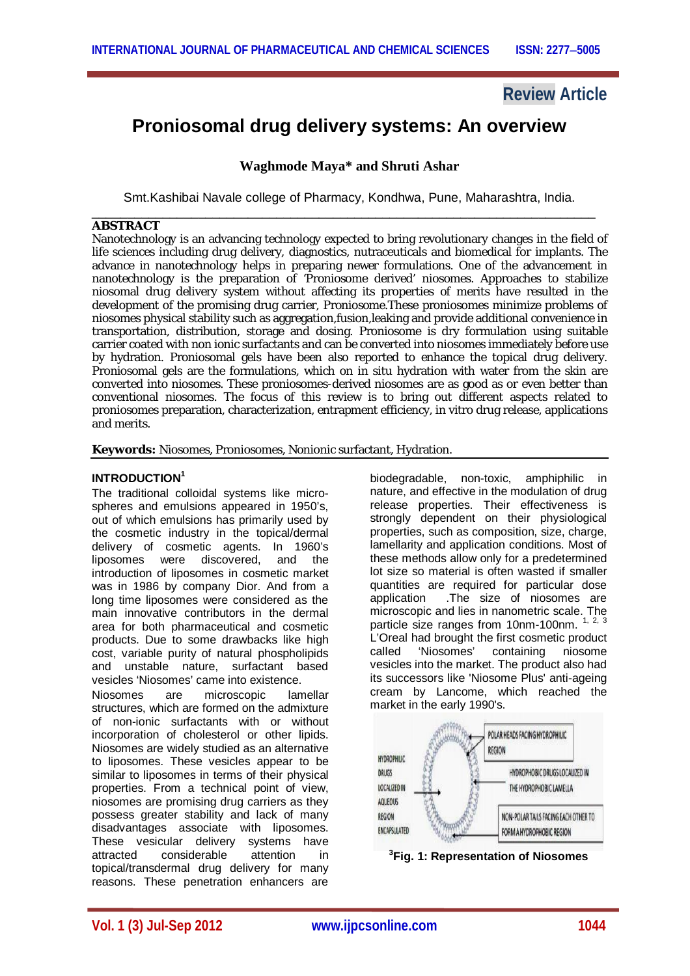# **Review Article**

# **Proniosomal drug delivery systems: An overview**

# **Waghmode Maya\* and Shruti Ashar**

Smt.Kashibai Navale college of Pharmacy, Kondhwa, Pune, Maharashtra, India.

#### \_\_\_\_\_\_\_\_\_\_\_\_\_\_\_\_\_\_\_\_\_\_\_\_\_\_\_\_\_\_\_\_\_\_\_\_\_\_\_\_\_\_\_\_\_\_\_\_\_\_\_\_\_\_\_\_\_\_\_\_\_\_\_\_\_\_\_\_\_\_\_ **ABSTRACT**

Nanotechnology is an advancing technology expected to bring revolutionary changes in the field of life sciences including drug delivery, diagnostics, nutraceuticals and biomedical for implants. The advance in nanotechnology helps in preparing newer formulations. One of the advancement in nanotechnology is the preparation of 'Proniosome derived' niosomes. Approaches to stabilize niosomal drug delivery system without affecting its properties of merits have resulted in the development of the promising drug carrier, Proniosome.These proniosomes minimize problems of niosomes physical stability such as aggregation,fusion,leaking and provide additional convenience in transportation, distribution, storage and dosing. Proniosome is dry formulation using suitable carrier coated with non ionic surfactants and can be converted into niosomes immediately before use by hydration. Proniosomal gels have been also reported to enhance the topical drug delivery. Proniosomal gels are the formulations, which on in situ hydration with water from the skin are converted into niosomes. These proniosomes-derived niosomes are as good as or even better than conventional niosomes. The focus of this review is to bring out different aspects related to proniosomes preparation, characterization, entrapment efficiency, in vitro drug release, applications and merits.

**Keywords:** Niosomes, Proniosomes, Nonionic surfactant, Hydration.

## **INTRODUCTION<sup>1</sup>**

The traditional colloidal systems like microspheres and emulsions appeared in 1950's. out of which emulsions has primarily used by the cosmetic industry in the topical/dermal delivery of cosmetic agents. In 1960's liposomes were discovered, and the introduction of liposomes in cosmetic market was in 1986 by company Dior. And from a long time liposomes were considered as the main innovative contributors in the dermal area for both pharmaceutical and cosmetic products. Due to some drawbacks like high cost, variable purity of natural phospholipids and unstable nature, surfactant based vesicles 'Niosomes' came into existence.

Niosomes are microscopic lamellar structures, which are formed on the admixture of non-ionic surfactants with or without incorporation of cholesterol or other lipids. Niosomes are widely studied as an alternative to liposomes. These vesicles appear to be similar to liposomes in terms of their physical properties. From a technical point of view, niosomes are promising drug carriers as they possess greater stability and lack of many disadvantages associate with liposomes. These vesicular delivery systems have attracted considerable attention in topical/transdermal drug delivery for many reasons. These penetration enhancers are

biodegradable, non-toxic, amphiphilic in nature, and effective in the modulation of drug release properties. Their effectiveness is strongly dependent on their physiological properties, such as composition, size, charge, lamellarity and application conditions. Most of these methods allow only for a predetermined lot size so material is often wasted if smaller quantities are required for particular dose application .The size of niosomes are microscopic and lies in nanometric scale. The particle size ranges from 10nm-100nm. <sup>1, 2, 3</sup> L'Oreal had brought the first cosmetic product called 'Niosomes' containing niosome vesicles into the market. The product also had its successors like 'Niosome Plus' anti-ageing cream by Lancome, which reached the market in the early 1990's.



**3 Fig. 1: Representation of Niosomes**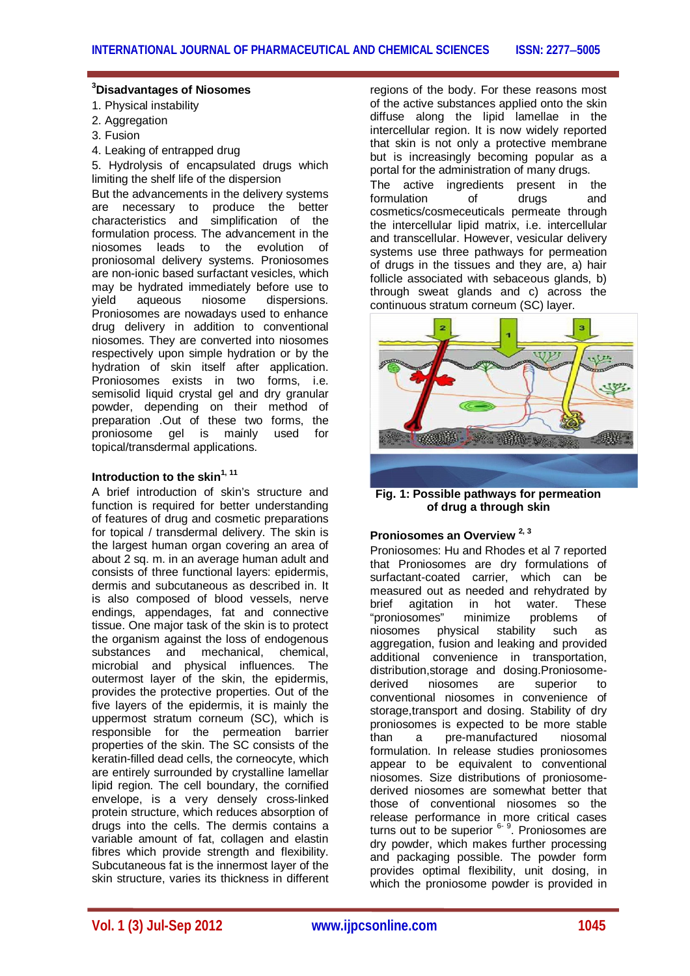# **<sup>3</sup>Disadvantages of Niosomes**

- 1. Physical instability
- 2. Aggregation
- 3. Fusion
- 4. Leaking of entrapped drug

5. Hydrolysis of encapsulated drugs which limiting the shelf life of the dispersion

But the advancements in the delivery systems are necessary to produce the better characteristics and simplification of the formulation process. The advancement in the niosomes leads to the evolution of proniosomal delivery systems. Proniosomes are non-ionic based surfactant vesicles, which may be hydrated immediately before use to<br>vield aqueous niosome dispersions aqueous niosome dispersions. Proniosomes are nowadays used to enhance drug delivery in addition to conventional niosomes. They are converted into niosomes respectively upon simple hydration or by the hydration of skin itself after application. Proniosomes exists in two forms, i.e. semisolid liquid crystal gel and dry granular powder, depending on their method of preparation .Out of these two forms, the proniosome gel is mainly used for topical/transdermal applications.

# **Introduction to the skin1, 11**

A brief introduction of skin's structure and function is required for better understanding of features of drug and cosmetic preparations for topical / transdermal delivery. The skin is the largest human organ covering an area of about 2 sq. m. in an average human adult and consists of three functional layers: epidermis, dermis and subcutaneous as described in. It is also composed of blood vessels, nerve endings, appendages, fat and connective tissue. One major task of the skin is to protect the organism against the loss of endogenous<br>substances and mechanical. chemical. substances and microbial and physical influences. The outermost layer of the skin, the epidermis, provides the protective properties. Out of the five layers of the epidermis, it is mainly the uppermost stratum corneum (SC), which is responsible for the permeation barrier properties of the skin. The SC consists of the keratin-filled dead cells, the corneocyte, which are entirely surrounded by crystalline lamellar lipid region. The cell boundary, the cornified envelope, is a very densely cross-linked protein structure, which reduces absorption of drugs into the cells. The dermis contains a variable amount of fat, collagen and elastin fibres which provide strength and flexibility. Subcutaneous fat is the innermost layer of the skin structure, varies its thickness in different

regions of the body. For these reasons most of the active substances applied onto the skin diffuse along the lipid lamellae in the intercellular region. It is now widely reported that skin is not only a protective membrane but is increasingly becoming popular as a portal for the administration of many drugs. The active ingredients present in the formulation of drugs and

cosmetics/cosmeceuticals permeate through the intercellular lipid matrix, i.e. intercellular and transcellular. However, vesicular delivery systems use three pathways for permeation of drugs in the tissues and they are, a) hair follicle associated with sebaceous glands, b) through sweat glands and c) across the continuous stratum corneum (SC) layer.



**Fig. 1: Possible pathways for permeation of drug a through skin**

# **Proniosomes an Overview 2, <sup>3</sup>**

Proniosomes: Hu and Rhodes et al 7 reported that Proniosomes are dry formulations of surfactant-coated carrier, which can be measured out as needed and rehydrated by brief agitation in hot water. These "proniosomes" minimize problems of niosomes physical stability such as aggregation, fusion and leaking and provided additional convenience in transportation, distribution, storage and dosing. Proniosome-<br>derived niosomes are superior to derived niosomes are superior to conventional niosomes in convenience of storage,transport and dosing. Stability of dry proniosomes is expected to be more stable than a pre-manufactured niosomal formulation. In release studies proniosomes appear to be equivalent to conventional niosomes. Size distributions of proniosomederived niosomes are somewhat better that those of conventional niosomes so the release performance in more critical cases turns out to be superior <sup>6-9</sup>. Proniosomes are dry powder, which makes further processing and packaging possible. The powder form provides optimal flexibility, unit dosing, in which the proniosome powder is provided in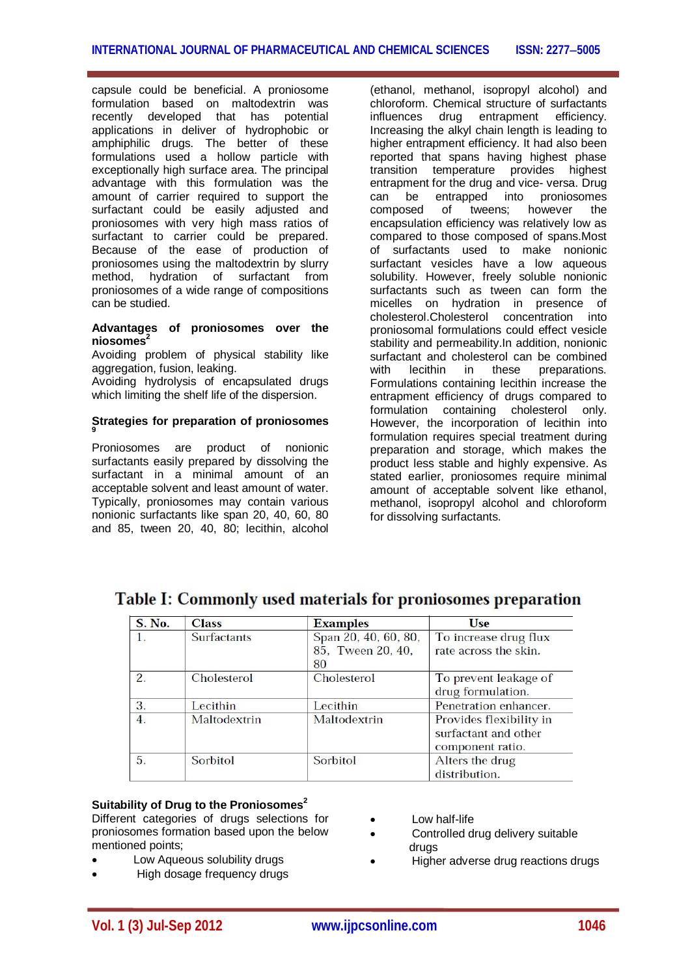capsule could be beneficial. A proniosome formulation based on maltodextrin was recently developed that has potential applications in deliver of hydrophobic or amphiphilic drugs. The better of these formulations used a hollow particle with exceptionally high surface area. The principal advantage with this formulation was the amount of carrier required to support the surfactant could be easily adjusted and proniosomes with very high mass ratios of surfactant to carrier could be prepared. Because of the ease of production of proniosomes using the maltodextrin by slurry method, hydration of surfactant from proniosomes of a wide range of compositions can be studied.

#### **Advantages of proniosomes over the niosomes<sup>2</sup>**

Avoiding problem of physical stability like aggregation, fusion, leaking.

Avoiding hydrolysis of encapsulated drugs which limiting the shelf life of the dispersion.

#### **Strategies for preparation of proniosomes 9**

Proniosomes are product of nonionic surfactants easily prepared by dissolving the surfactant in a minimal amount of an acceptable solvent and least amount of water. Typically, proniosomes may contain various nonionic surfactants like span 20, 40, 60, 80 and 85, tween 20, 40, 80; lecithin, alcohol

(ethanol, methanol, isopropyl alcohol) and chloroform. Chemical structure of surfactants influences drug entrapment efficiency. Increasing the alkyl chain length is leading to higher entrapment efficiency. It had also been reported that spans having highest phase transition temperature provides highest entrapment for the drug and vice- versa. Drug can be entrapped into proniosomes<br>composed of tweens: however the composed of tweens; however the encapsulation efficiency was relatively low as compared to those composed of spans.Most of surfactants used to make nonionic surfactant vesicles have a low aqueous solubility. However, freely soluble nonionic surfactants such as tween can form the micelles on hydration in presence of cholesterol.Cholesterol concentration into proniosomal formulations could effect vesicle stability and permeability.In addition, nonionic surfactant and cholesterol can be combined with lecithin in these preparations. Formulations containing lecithin increase the entrapment efficiency of drugs compared to formulation containing cholesterol only. However, the incorporation of lecithin into formulation requires special treatment during preparation and storage, which makes the product less stable and highly expensive. As stated earlier, proniosomes require minimal amount of acceptable solvent like ethanol, methanol, isopropyl alcohol and chloroform for dissolving surfactants.

| <b>S. No.</b>    | <b>Class</b>       | <b>Examples</b>                                 | <b>Use</b>                                                          |  |
|------------------|--------------------|-------------------------------------------------|---------------------------------------------------------------------|--|
| $\mathbf{1}$ .   | <b>Surfactants</b> | Span 20, 40, 60, 80,<br>85, Tween 20, 40,<br>80 | To increase drug flux<br>rate across the skin.                      |  |
| $\overline{2}$ . | Cholesterol        | <b>Cholesterol</b>                              | To prevent leakage of<br>drug formulation.                          |  |
| 3.               | Lecithin           | Lecithin                                        | Penetration enhancer.                                               |  |
| 4.               | Maltodextrin       | Maltodextrin                                    | Provides flexibility in<br>surfactant and other<br>component ratio. |  |
| 5.               | Sorbitol           | Sorbitol                                        | Alters the drug<br>distribution.                                    |  |

# Table I: Commonly used materials for proniosomes preparation

# **Suitability of Drug to the Proniosomes<sup>2</sup>**

Different categories of drugs selections for proniosomes formation based upon the below mentioned points;

- Low Aqueous solubility drugs
- High dosage frequency drugs
- Low half-life
- Controlled drug delivery suitable drugs
- Higher adverse drug reactions drugs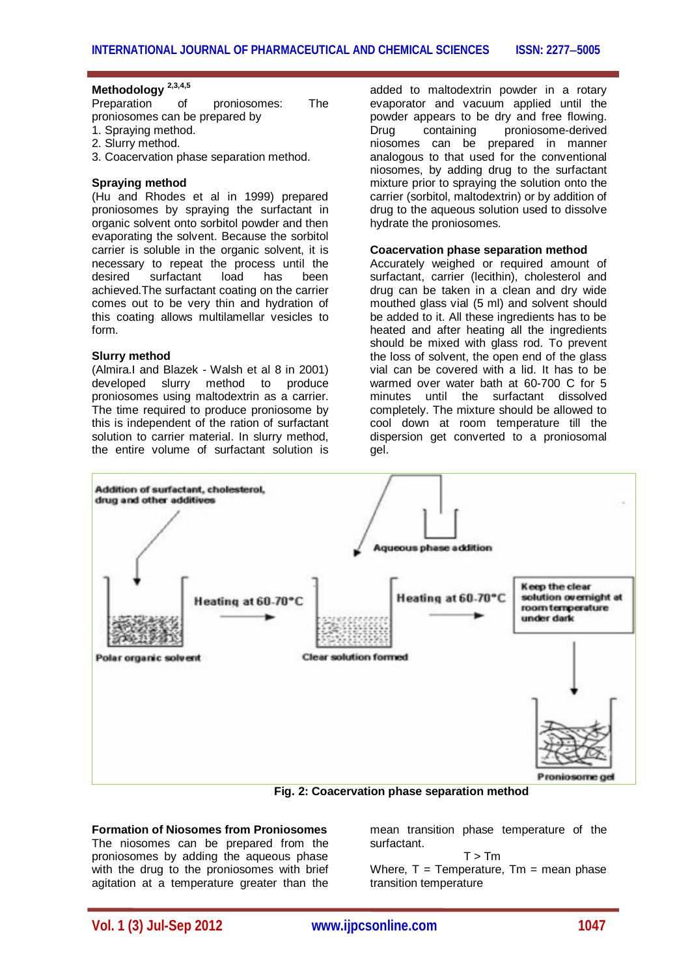# **Methodology 2,3,4,5**

Preparation of proniosomes: The proniosomes can be prepared by 1. Spraying method.

- 2. Slurry method.
- 3. Coacervation phase separation method.

#### **Spraying method**

(Hu and Rhodes et al in 1999) prepared proniosomes by spraying the surfactant in organic solvent onto sorbitol powder and then evaporating the solvent. Because the sorbitol carrier is soluble in the organic solvent, it is necessary to repeat the process until the desired surfactant load has been achieved.The surfactant coating on the carrier comes out to be very thin and hydration of this coating allows multilamellar vesicles to form.

#### **Slurry method**

(Almira.I and Blazek - Walsh et al 8 in 2001) developed slurry method to produce proniosomes using maltodextrin as a carrier. The time required to produce proniosome by this is independent of the ration of surfactant solution to carrier material. In slurry method, the entire volume of surfactant solution is

added to maltodextrin powder in a rotary evaporator and vacuum applied until the powder appears to be dry and free flowing. Drug containing proniosome-derived niosomes can be prepared in manner analogous to that used for the conventional niosomes, by adding drug to the surfactant mixture prior to spraying the solution onto the carrier (sorbitol, maltodextrin) or by addition of drug to the aqueous solution used to dissolve hydrate the proniosomes.

#### **Coacervation phase separation method**

Accurately weighed or required amount of surfactant, carrier (lecithin), cholesterol and drug can be taken in a clean and dry wide mouthed glass vial (5 ml) and solvent should be added to it. All these ingredients has to be heated and after heating all the ingredients should be mixed with glass rod. To prevent the loss of solvent, the open end of the glass vial can be covered with a lid. It has to be warmed over water bath at 60-700 C for 5 minutes until the surfactant dissolved completely. The mixture should be allowed to cool down at room temperature till the dispersion get converted to a proniosomal gel.



 **Fig. 2: Coacervation phase separation method**

#### **Formation of Niosomes from Proniosomes** The niosomes can be prepared from the proniosomes by adding the aqueous phase with the drug to the proniosomes with brief agitation at a temperature greater than the

mean transition phase temperature of the surfactant.

 $T > Tm$ Where,  $T = T$ emperature,  $Tm =$  mean phase transition temperature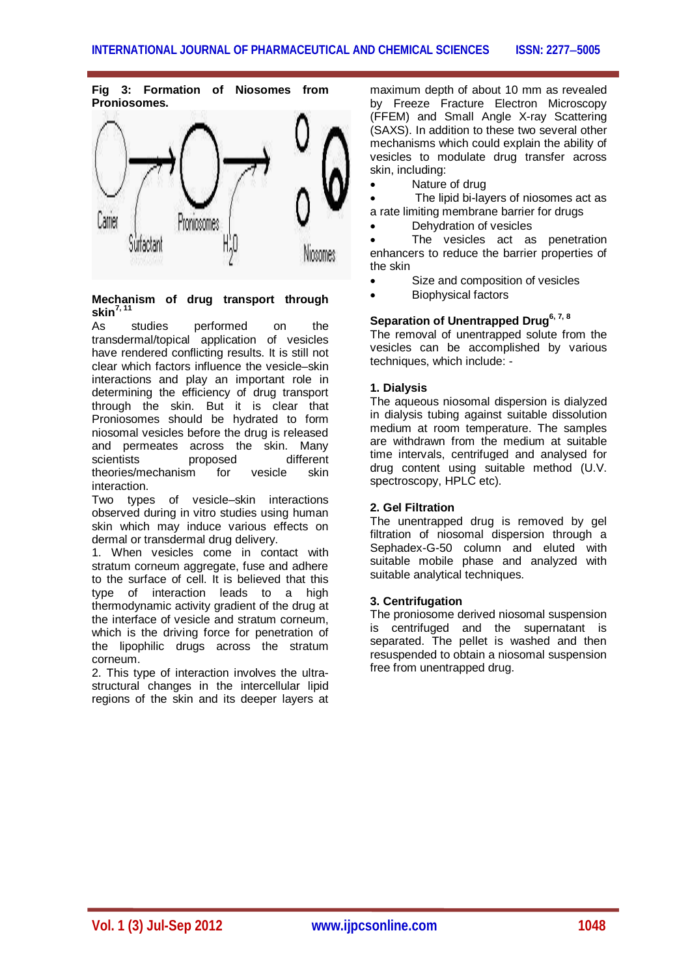**Fig 3: Formation of Niosomes from Proniosomes.**



**Mechanism of drug transport through skin7, 11**

As studies performed on the transdermal/topical application of vesicles have rendered conflicting results. It is still not clear which factors influence the vesicle–skin interactions and play an important role in determining the efficiency of drug transport through the skin. But it is clear that Proniosomes should be hydrated to form niosomal vesicles before the drug is released and permeates across the skin. Many<br>scientists proposed different scientists proposed theories/mechanism for vesicle skin interaction.

Two types of vesicle–skin interactions observed during in vitro studies using human skin which may induce various effects on dermal or transdermal drug delivery.

1. When vesicles come in contact with stratum corneum aggregate, fuse and adhere to the surface of cell. It is believed that this type of interaction leads to a high thermodynamic activity gradient of the drug at the interface of vesicle and stratum corneum, which is the driving force for penetration of the lipophilic drugs across the stratum corneum.

2. This type of interaction involves the ultrastructural changes in the intercellular lipid regions of the skin and its deeper layers at

maximum depth of about 10 mm as revealed by Freeze Fracture Electron Microscopy (FFEM) and Small Angle X-ray Scattering (SAXS). In addition to these two several other mechanisms which could explain the ability of vesicles to modulate drug transfer across skin, including:

Nature of drug

 The lipid bi-layers of niosomes act as a rate limiting membrane barrier for drugs

Dehydration of vesicles

 The vesicles act as penetration enhancers to reduce the barrier properties of the skin

- Size and composition of vesicles
- Biophysical factors

# **Separation of Unentrapped Drug6, 7, 8**

The removal of unentrapped solute from the vesicles can be accomplished by various techniques, which include: -

# **1. Dialysis**

The aqueous niosomal dispersion is dialyzed in dialysis tubing against suitable dissolution medium at room temperature. The samples are withdrawn from the medium at suitable time intervals, centrifuged and analysed for drug content using suitable method (U.V. spectroscopy, HPLC etc).

# **2. Gel Filtration**

The unentrapped drug is removed by gel filtration of niosomal dispersion through a Sephadex-G-50 column and eluted with suitable mobile phase and analyzed with suitable analytical techniques.

# **3. Centrifugation**

The proniosome derived niosomal suspension is centrifuged and the supernatant is separated. The pellet is washed and then resuspended to obtain a niosomal suspension free from unentrapped drug.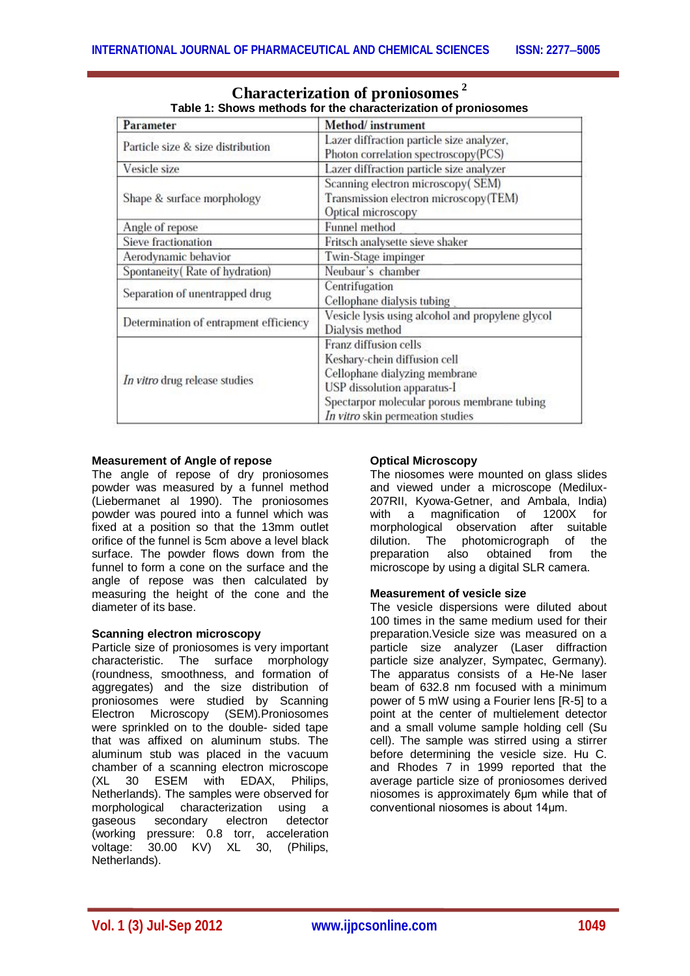| Parameter                              | Method/instrument                                                                                                                                                                                        |  |  |
|----------------------------------------|----------------------------------------------------------------------------------------------------------------------------------------------------------------------------------------------------------|--|--|
| Particle size & size distribution      | Lazer diffraction particle size analyzer,<br>Photon correlation spectroscopy(PCS)                                                                                                                        |  |  |
| Vesicle size                           | Lazer diffraction particle size analyzer                                                                                                                                                                 |  |  |
| Shape & surface morphology             | Scanning electron microscopy(SEM)<br>Transmission electron microscopy(TEM)<br>Optical microscopy                                                                                                         |  |  |
| Angle of repose                        | Funnel method                                                                                                                                                                                            |  |  |
| Sieve fractionation                    | Fritsch analysette sieve shaker                                                                                                                                                                          |  |  |
| Aerodynamic behavior                   | Twin-Stage impinger                                                                                                                                                                                      |  |  |
| Spontaneity (Rate of hydration)        | Neubaur's chamber                                                                                                                                                                                        |  |  |
| Separation of unentrapped drug         | Centrifugation<br>Cellophane dialysis tubing                                                                                                                                                             |  |  |
| Determination of entrapment efficiency | Vesicle lysis using alcohol and propylene glycol<br>Dialysis method                                                                                                                                      |  |  |
| In vitro drug release studies          | Franz diffusion cells<br>Keshary-chein diffusion cell<br>Cellophane dialyzing membrane<br>USP dissolution apparatus-I<br>Spectarpor molecular porous membrane tubing<br>In vitro skin permeation studies |  |  |

# **Characterization of proniosomes <sup>2</sup> Table 1: Shows methods for the characterization of proniosomes**

# **Measurement of Angle of repose**

The angle of repose of dry proniosomes powder was measured by a funnel method (Liebermanet al 1990). The proniosomes powder was poured into a funnel which was fixed at a position so that the 13mm outlet orifice of the funnel is 5cm above a level black surface. The powder flows down from the funnel to form a cone on the surface and the angle of repose was then calculated by measuring the height of the cone and the diameter of its base.

# **Scanning electron microscopy**

Particle size of proniosomes is very important characteristic. The surface morphology (roundness, smoothness, and formation of aggregates) and the size distribution of proniosomes were studied by Scanning Electron Microscopy (SEM).Proniosomes were sprinkled on to the double- sided tape that was affixed on aluminum stubs. The aluminum stub was placed in the vacuum chamber of a scanning electron microscope (XL 30 ESEM with EDAX, Philips, Netherlands). The samples were observed for morphological characterization using a gaseous secondary electron detector (working pressure: 0.8 torr, acceleration voltage: 30.00 KV) XL 30, (Philips, Netherlands).

# **Optical Microscopy**

The niosomes were mounted on glass slides and viewed under a microscope (Medilux-207RII, Kyowa-Getner, and Ambala, India) with a magnification of  $1200X$ morphological observation after suitable dilution. The photomicrograph of the preparation also obtained from the microscope by using a digital SLR camera.

# **Measurement of vesicle size**

The vesicle dispersions were diluted about 100 times in the same medium used for their preparation.Vesicle size was measured on a particle size analyzer (Laser diffraction particle size analyzer, Sympatec, Germany). The apparatus consists of a He-Ne laser beam of 632.8 nm focused with a minimum power of 5 mW using a Fourier lens [R-5] to a point at the center of multielement detector and a small volume sample holding cell (Su cell). The sample was stirred using a stirrer before determining the vesicle size. Hu C. and Rhodes 7 in 1999 reported that the average particle size of proniosomes derived niosomes is approximately 6μm while that of conventional niosomes is about 14μm.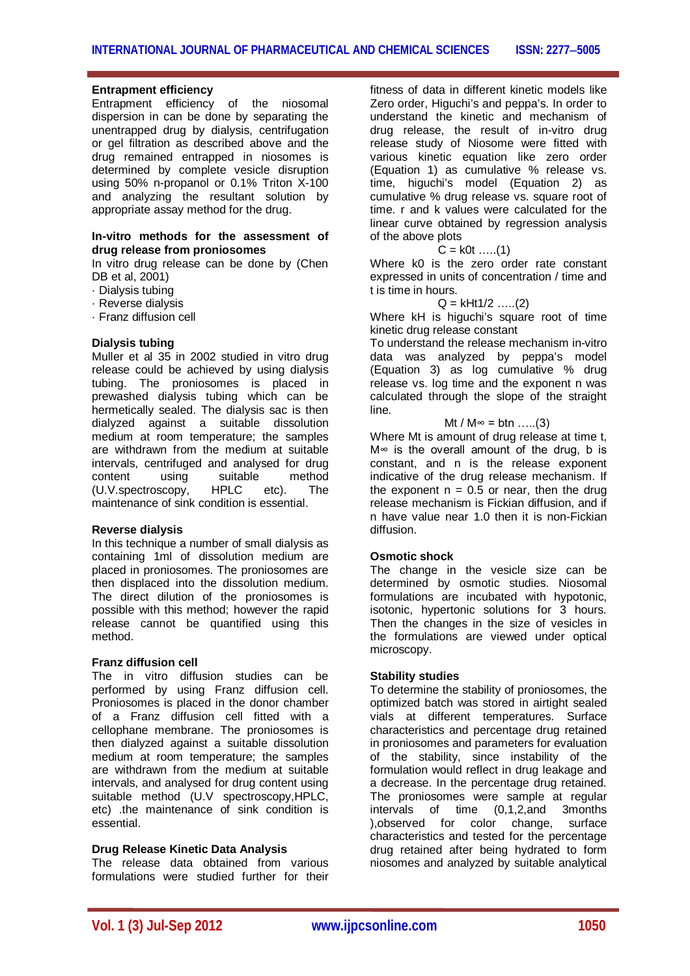#### **Entrapment efficiency**

Entrapment efficiency of the niosomal dispersion in can be done by separating the unentrapped drug by dialysis, centrifugation or gel filtration as described above and the drug remained entrapped in niosomes is determined by complete vesicle disruption using 50% n-propanol or 0.1% Triton X-100 and analyzing the resultant solution by appropriate assay method for the drug.

#### **In-vitro methods for the assessment of drug release from proniosomes**

In vitro drug release can be done by (Chen DB et al, 2001)

- · Dialysis tubing
- · Reverse dialysis
- · Franz diffusion cell

#### **Dialysis tubing**

Muller et al 35 in 2002 studied in vitro drug release could be achieved by using dialysis tubing. The proniosomes is placed in prewashed dialysis tubing which can be hermetically sealed. The dialysis sac is then dialyzed against a suitable dissolution medium at room temperature; the samples are withdrawn from the medium at suitable intervals, centrifuged and analysed for drug content using suitable method<br>(U.V.spectroscopy. HPLC etc). The  $(U.V.spectroscopy, HPLC etc).$ maintenance of sink condition is essential.

#### **Reverse dialysis**

In this technique a number of small dialysis as containing 1ml of dissolution medium are placed in proniosomes. The proniosomes are then displaced into the dissolution medium. The direct dilution of the proniosomes is possible with this method; however the rapid release cannot be quantified using this method.

#### **Franz diffusion cell**

The in vitro diffusion studies can be performed by using Franz diffusion cell. Proniosomes is placed in the donor chamber of a Franz diffusion cell fitted with a cellophane membrane. The proniosomes is then dialyzed against a suitable dissolution medium at room temperature; the samples are withdrawn from the medium at suitable intervals, and analysed for drug content using suitable method (U.V spectroscopy,HPLC, etc) .the maintenance of sink condition is essential.

## **Drug Release Kinetic Data Analysis**

The release data obtained from various formulations were studied further for their fitness of data in different kinetic models like Zero order, Higuchi's and peppa's. In order to understand the kinetic and mechanism of drug release, the result of in-vitro drug release study of Niosome were fitted with various kinetic equation like zero order (Equation 1) as cumulative % release vs. time, higuchi's model (Equation 2) as cumulative % drug release vs. square root of time. r and k values were calculated for the linear curve obtained by regression analysis of the above plots

#### $C = k0t$  ……(1)

Where k0 is the zero order rate constant expressed in units of concentration / time and t is time in hours.

#### $Q = kHt1/2$  .....(2)

Where kH is higuchi's square root of time kinetic drug release constant

To understand the release mechanism in-vitro data was analyzed by peppa's model (Equation 3) as log cumulative % drug release vs. log time and the exponent n was calculated through the slope of the straight line.

 $Mt / M$ ∞ = btn .....(3)

Where Mt is amount of drug release at time t, M∞ is the overall amount of the drug, b is constant, and n is the release exponent indicative of the drug release mechanism. If the exponent  $n = 0.5$  or near, then the drug release mechanism is Fickian diffusion, and if n have value near 1.0 then it is non-Fickian diffusion.

#### **Osmotic shock**

The change in the vesicle size can be determined by osmotic studies. Niosomal formulations are incubated with hypotonic, isotonic, hypertonic solutions for 3 hours. Then the changes in the size of vesicles in the formulations are viewed under optical microscopy.

#### **Stability studies**

To determine the stability of proniosomes, the optimized batch was stored in airtight sealed vials at different temperatures. Surface characteristics and percentage drug retained in proniosomes and parameters for evaluation of the stability, since instability of the formulation would reflect in drug leakage and a decrease. In the percentage drug retained. The proniosomes were sample at regular intervals of time (0,1,2,and 3months ),observed for color change, surface characteristics and tested for the percentage drug retained after being hydrated to form niosomes and analyzed by suitable analytical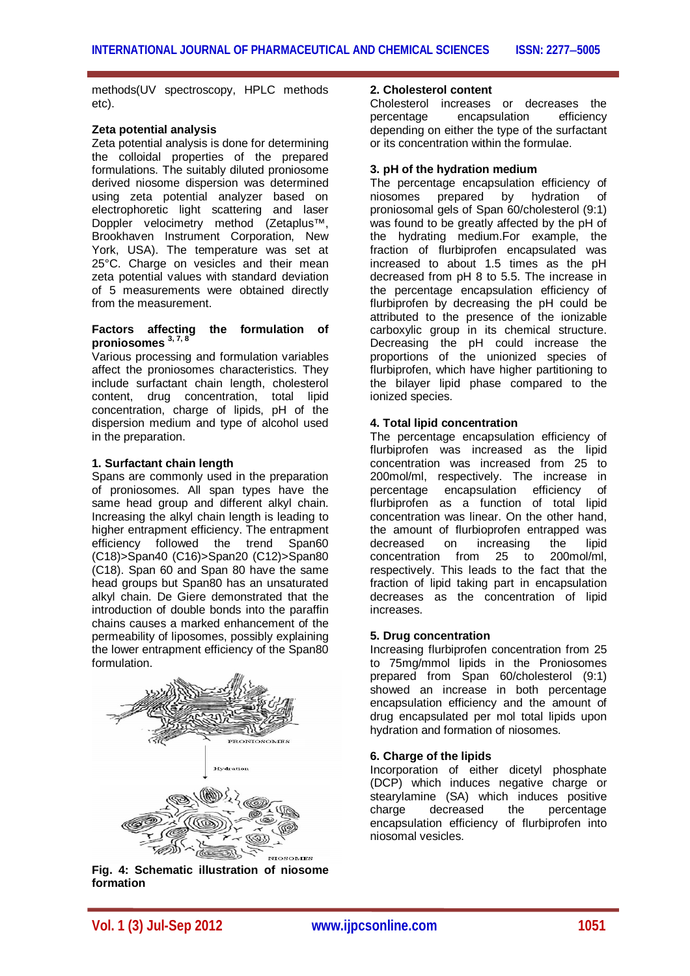methods(UV spectroscopy, HPLC methods etc).

#### **Zeta potential analysis**

Zeta potential analysis is done for determining the colloidal properties of the prepared formulations. The suitably diluted proniosome derived niosome dispersion was determined using zeta potential analyzer based on electrophoretic light scattering and laser Doppler velocimetry method (Zetaplus™, Brookhaven Instrument Corporation, New York, USA). The temperature was set at 25°C. Charge on vesicles and their mean zeta potential values with standard deviation of 5 measurements were obtained directly from the measurement.

#### **Factors affecting the formulation of proniosomes 3, 7, 8**

Various processing and formulation variables affect the proniosomes characteristics. They include surfactant chain length, cholesterol content, drug concentration, total lipid concentration, charge of lipids, pH of the dispersion medium and type of alcohol used in the preparation.

## **1. Surfactant chain length**

Spans are commonly used in the preparation of proniosomes. All span types have the same head group and different alkyl chain. Increasing the alkyl chain length is leading to higher entrapment efficiency. The entrapment efficiency followed the trend Span60 (C18)>Span40 (C16)>Span20 (C12)>Span80 (C18). Span 60 and Span 80 have the same head groups but Span80 has an unsaturated alkyl chain. De Giere demonstrated that the introduction of double bonds into the paraffin chains causes a marked enhancement of the permeability of liposomes, possibly explaining the lower entrapment efficiency of the Span80 formulation.



**Fig. 4: Schematic illustration of niosome formation**

## **2. Cholesterol content**

Cholesterol increases or decreases the percentage encapsulation efficiency depending on either the type of the surfactant or its concentration within the formulae.

# **3. pH of the hydration medium**

The percentage encapsulation efficiency of niosomes prepared by hydration of proniosomal gels of Span 60/cholesterol (9:1) was found to be greatly affected by the pH of the hydrating medium.For example, the fraction of flurbiprofen encapsulated was increased to about 1.5 times as the pH decreased from pH 8 to 5.5. The increase in the percentage encapsulation efficiency of flurbiprofen by decreasing the pH could be attributed to the presence of the ionizable carboxylic group in its chemical structure. Decreasing the pH could increase the proportions of the unionized species of flurbiprofen, which have higher partitioning to the bilayer lipid phase compared to the ionized species.

# **4. Total lipid concentration**

The percentage encapsulation efficiency of flurbiprofen was increased as the lipid concentration was increased from 25 to 200mol/ml, respectively. The increase in percentage encapsulation efficiency of flurbiprofen as a function of total lipid concentration was linear. On the other hand, the amount of flurbioprofen entrapped was decreased on increasing the lipid concentration from 25 to 200mol/ml, respectively. This leads to the fact that the fraction of lipid taking part in encapsulation decreases as the concentration of lipid increases.

# **5. Drug concentration**

Increasing flurbiprofen concentration from 25 to 75mg/mmol lipids in the Proniosomes prepared from Span 60/cholesterol (9:1) showed an increase in both percentage encapsulation efficiency and the amount of drug encapsulated per mol total lipids upon hydration and formation of niosomes.

# **6. Charge of the lipids**

Incorporation of either dicetyl phosphate (DCP) which induces negative charge or stearylamine (SA) which induces positive charge decreased the percentage encapsulation efficiency of flurbiprofen into niosomal vesicles.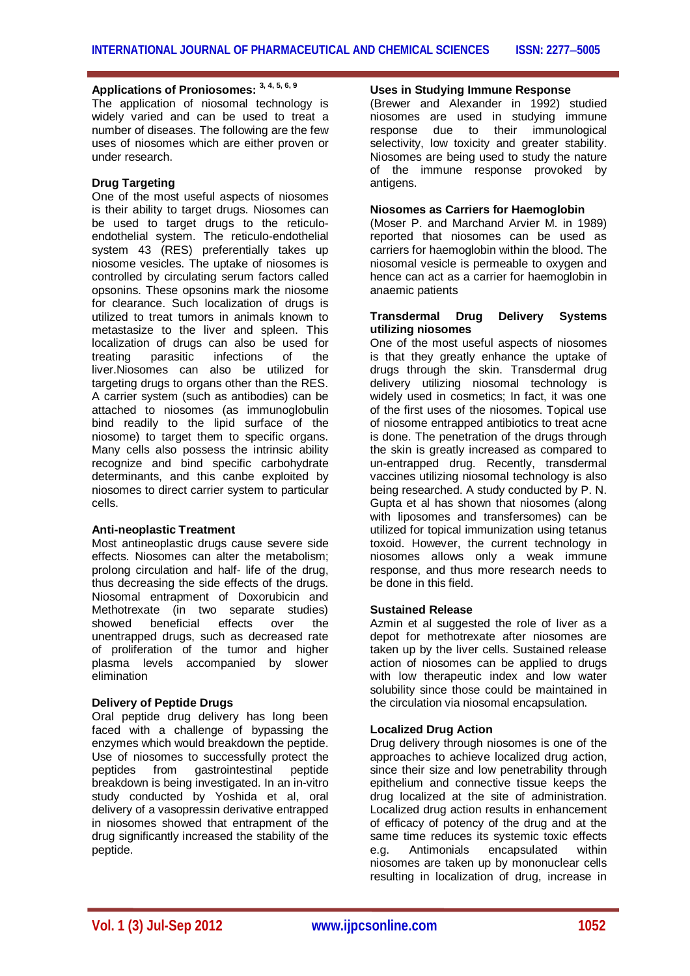# **Applications of Proniosomes: 3, 4, 5, 6, 9**

The application of niosomal technology is widely varied and can be used to treat a number of diseases. The following are the few uses of niosomes which are either proven or under research.

#### **Drug Targeting**

One of the most useful aspects of niosomes is their ability to target drugs. Niosomes can be used to target drugs to the reticuloendothelial system. The reticulo-endothelial system 43 (RES) preferentially takes up niosome vesicles. The uptake of niosomes is controlled by circulating serum factors called opsonins. These opsonins mark the niosome for clearance. Such localization of drugs is utilized to treat tumors in animals known to metastasize to the liver and spleen. This localization of drugs can also be used for treating parasitic infections of the liver.Niosomes can also be utilized for targeting drugs to organs other than the RES. A carrier system (such as antibodies) can be attached to niosomes (as immunoglobulin bind readily to the lipid surface of the niosome) to target them to specific organs. Many cells also possess the intrinsic ability recognize and bind specific carbohydrate determinants, and this canbe exploited by niosomes to direct carrier system to particular cells.

#### **Anti-neoplastic Treatment**

Most antineoplastic drugs cause severe side effects. Niosomes can alter the metabolism; prolong circulation and half- life of the drug, thus decreasing the side effects of the drugs. Niosomal entrapment of Doxorubicin and Methotrexate (in two separate studies) showed beneficial effects over the unentrapped drugs, such as decreased rate of proliferation of the tumor and higher plasma levels accompanied by slower elimination

#### **Delivery of Peptide Drugs**

Oral peptide drug delivery has long been faced with a challenge of bypassing the enzymes which would breakdown the peptide. Use of niosomes to successfully protect the peptides from gastrointestinal peptide breakdown is being investigated. In an in-vitro study conducted by Yoshida et al, oral delivery of a vasopressin derivative entrapped in niosomes showed that entrapment of the drug significantly increased the stability of the peptide.

# **Uses in Studying Immune Response**

(Brewer and Alexander in 1992) studied niosomes are used in studying immune response due to their immunological selectivity, low toxicity and greater stability. Niosomes are being used to study the nature of the immune response provoked by antigens.

## **Niosomes as Carriers for Haemoglobin**

(Moser P. and Marchand Arvier M. in 1989) reported that niosomes can be used as carriers for haemoglobin within the blood. The niosomal vesicle is permeable to oxygen and hence can act as a carrier for haemoglobin in anaemic patients

#### **Transdermal Drug Delivery Systems utilizing niosomes**

One of the most useful aspects of niosomes is that they greatly enhance the uptake of drugs through the skin. Transdermal drug delivery utilizing niosomal technology is widely used in cosmetics; In fact, it was one of the first uses of the niosomes. Topical use of niosome entrapped antibiotics to treat acne is done. The penetration of the drugs through the skin is greatly increased as compared to un-entrapped drug. Recently, transdermal vaccines utilizing niosomal technology is also being researched. A study conducted by P. N. Gupta et al has shown that niosomes (along with liposomes and transfersomes) can be utilized for topical immunization using tetanus toxoid. However, the current technology in niosomes allows only a weak immune response, and thus more research needs to be done in this field.

#### **Sustained Release**

Azmin et al suggested the role of liver as a depot for methotrexate after niosomes are taken up by the liver cells. Sustained release action of niosomes can be applied to drugs with low therapeutic index and low water solubility since those could be maintained in the circulation via niosomal encapsulation.

#### **Localized Drug Action**

Drug delivery through niosomes is one of the approaches to achieve localized drug action, since their size and low penetrability through epithelium and connective tissue keeps the drug localized at the site of administration. Localized drug action results in enhancement of efficacy of potency of the drug and at the same time reduces its systemic toxic effects<br>e.g. Antimonials encapsulated within e.g. Antimonials encapsulated within niosomes are taken up by mononuclear cells resulting in localization of drug, increase in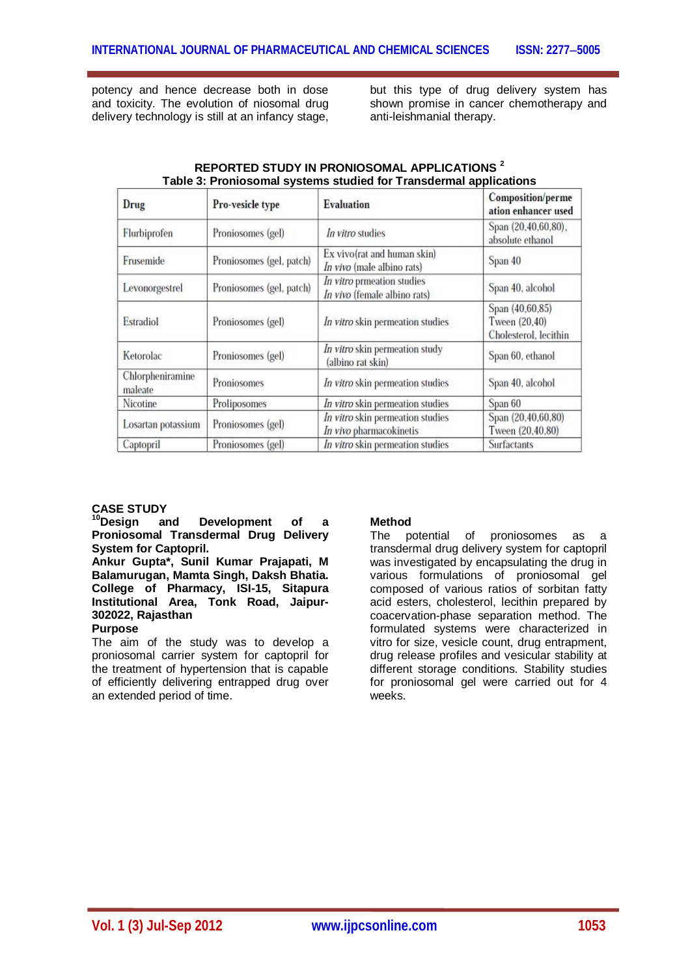potency and hence decrease both in dose and toxicity. The evolution of niosomal drug delivery technology is still at an infancy stage,

but this type of drug delivery system has shown promise in cancer chemotherapy and anti-leishmanial therapy.

| Drug                                                                                               | Pro-vesicle type         | <b>Evaluation</b>                                           | Composition/perme<br>ation enhancer used<br>Span (20.40,60,80),<br>absolute ethanol |  |
|----------------------------------------------------------------------------------------------------|--------------------------|-------------------------------------------------------------|-------------------------------------------------------------------------------------|--|
| Flurbiprofen                                                                                       | Proniosomes (gel)        | In vitro studies                                            |                                                                                     |  |
| Ex vivo(rat and human skin)<br>Frusemide<br>Proniosomes (gel, patch)<br>In vivo (male albino rats) |                          |                                                             | Span 40                                                                             |  |
| Levonorgestrel                                                                                     | Proniosomes (gel, patch) | In vitro prmeation studies<br>In vivo (female albino rats)  | Span 40, alcohol                                                                    |  |
| Estradiol                                                                                          | Proniosomes (gel)        | In vitro skin permeation studies                            | Span (40,60,85)<br>Tween (20,40)<br>Cholesterol, lecithin                           |  |
| Ketorolac                                                                                          | Proniosomes (gel)        | In vitro skin permeation study<br>(albino rat skin)         | Span 60, ethanol                                                                    |  |
| Chlorpheniramine<br>maleate                                                                        | Proniosomes              | In vitro skin permeation studies                            | Span 40, alcohol                                                                    |  |
| Nicotine                                                                                           | Proliposomes             | In vitro skin permeation studies                            | Span 60                                                                             |  |
| Losartan potassium<br>Proniosomes (gel)                                                            |                          | In vitro skin permeation studies<br>In vivo pharmacokinetis | Span (20,40,60,80)<br>Tween (20,40,80)                                              |  |
| Captopril                                                                                          | Proniosomes (gel)        | In vitro skin permeation studies                            | <b>Surfactants</b>                                                                  |  |

#### **REPORTED STUDY IN PRONIOSOMAL APPLICATIONS <sup>2</sup> Table 3: Proniosomal systems studied for Transdermal applications**

# **CASE STUDY**

**Development** of a **Proniosomal Transdermal Drug Delivery System for Captopril.**

**Ankur Gupta\*, Sunil Kumar Prajapati, M Balamurugan, Mamta Singh, Daksh Bhatia. College of Pharmacy, ISI-15, Sitapura Institutional Area, Tonk Road, Jaipur-302022, Rajasthan**

# **Purpose**

The aim of the study was to develop a proniosomal carrier system for captopril for the treatment of hypertension that is capable of efficiently delivering entrapped drug over an extended period of time.

# **Method**

The potential of proniosomes as a transdermal drug delivery system for captopril was investigated by encapsulating the drug in various formulations of proniosomal gel composed of various ratios of sorbitan fatty acid esters, cholesterol, lecithin prepared by coacervation-phase separation method. The formulated systems were characterized in vitro for size, vesicle count, drug entrapment, drug release profiles and vesicular stability at different storage conditions. Stability studies for proniosomal gel were carried out for 4 weeks.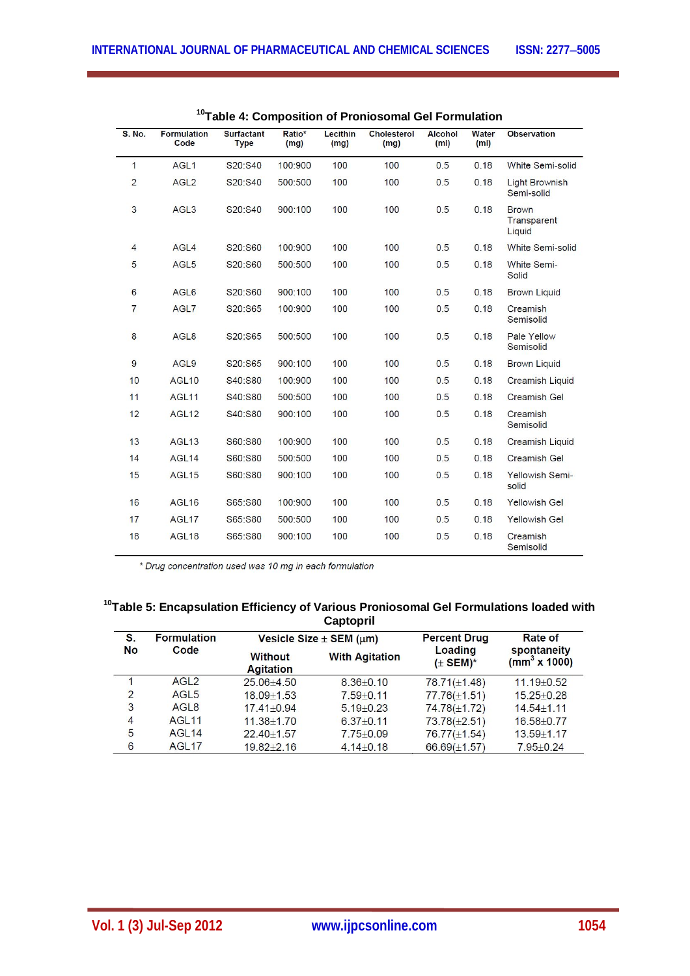| <b>S. No.</b>  | <b>Formulation</b><br>Code | <b>Surfactant</b><br><b>Type</b> | Ratio*<br>(mg) | Lecithin<br>(mg) | <b>Cholesterol</b><br>(mg) | <b>Alcohol</b><br>(m <sub>l</sub> ) | <b>Water</b><br>(m <sub>l</sub> ) | <b>Observation</b>                    |
|----------------|----------------------------|----------------------------------|----------------|------------------|----------------------------|-------------------------------------|-----------------------------------|---------------------------------------|
| $\mathbf{1}$   | AGL <sub>1</sub>           | S20:S40                          | 100:900        | 100              | 100                        | 0.5                                 | 0.18                              | White Semi-solid                      |
| $\overline{2}$ | AGL <sub>2</sub>           | S20:S40                          | 500:500        | 100              | 100                        | 0.5                                 | 0.18                              | <b>Light Brownish</b><br>Semi-solid   |
| 3              | AGL <sub>3</sub>           | S20:S40                          | 900:100        | 100              | 100                        | 0.5                                 | 0.18                              | <b>Brown</b><br>Transparent<br>Liquid |
| $\overline{4}$ | AGL4                       | S20:S60                          | 100:900        | 100              | 100                        | 0.5                                 | 0.18                              | White Semi-solid                      |
| 5              | AGL5                       | S20:S60                          | 500:500        | 100              | 100                        | 0.5                                 | 0.18                              | White Semi-<br>Solid                  |
| 6              | AGL6                       | S20:S60                          | 900:100        | 100              | 100                        | 0.5                                 | 0.18                              | <b>Brown Liquid</b>                   |
| $\overline{7}$ | AGL7                       | S20:S65                          | 100:900        | 100              | 100                        | 0.5                                 | 0.18                              | Creamish<br>Semisolid                 |
| $\bf{8}$       | AGL <sub>8</sub>           | S20:S65                          | 500:500        | 100              | 100                        | 0.5                                 | 0.18                              | Pale Yellow<br>Semisolid              |
| 9              | AGL9                       | S20:S65                          | 900:100        | 100              | 100                        | 0.5                                 | 0.18                              | <b>Brown Liquid</b>                   |
| 10             | AGL <sub>10</sub>          | S40:S80                          | 100:900        | 100              | 100                        | 0.5                                 | 0.18                              | <b>Creamish Liquid</b>                |
| 11             | AGL <sub>11</sub>          | S40:S80                          | 500:500        | 100              | 100                        | 0.5                                 | 0.18                              | <b>Creamish Gel</b>                   |
| 12             | AGL <sub>12</sub>          | S40:S80                          | 900:100        | 100              | 100                        | 0.5                                 | 0.18                              | Creamish<br>Semisolid                 |
| 13             | AGL <sub>13</sub>          | S60:S80                          | 100:900        | 100              | 100                        | 0.5                                 | 0.18                              | <b>Creamish Liquid</b>                |
| 14             | AGL <sub>14</sub>          | S60:S80                          | 500:500        | 100              | 100                        | 0.5                                 | 0.18                              | Creamish Gel                          |
| 15             | <b>AGL15</b>               | S60:S80                          | 900:100        | 100              | 100                        | 0.5                                 | 0.18                              | Yellowish Semi-<br>solid              |
| 16             | AGL <sub>16</sub>          | S65:S80                          | 100:900        | 100              | 100                        | 0.5                                 | 0.18                              | <b>Yellowish Gel</b>                  |
| 17             | AGL <sub>17</sub>          | S65:S80                          | 500:500        | 100              | 100                        | 0.5                                 | 0.18                              | <b>Yellowish Gel</b>                  |
| 18             | AGL <sub>18</sub>          | S65:S80                          | 900:100        | 100              | 100                        | 0.5                                 | 0.18                              | Creamish<br>Semisolid                 |

| <sup>10</sup> Table 4: Composition of Proniosomal Gel Formulation |
|-------------------------------------------------------------------|
|-------------------------------------------------------------------|

\* Drug concentration used was 10 mg in each formulation

# **<sup>10</sup>Table 5: Encapsulation Efficiency of Various Proniosomal Gel Formulations loaded with Captopril**

| S.<br><b>No</b> | <b>Formulation</b><br>Code |                                    | Vesicle Size $\pm$ SEM ( $\mu$ m) | <b>Percent Drug</b>     | Rate of<br>spontaneity<br>(mm <sup>3</sup> x 1000) |
|-----------------|----------------------------|------------------------------------|-----------------------------------|-------------------------|----------------------------------------------------|
|                 |                            | <b>Without</b><br><b>Agitation</b> | <b>With Agitation</b>             | Loading<br>$(\pm$ SEM)* |                                                    |
|                 | AGL <sub>2</sub>           | $25.06 + 4.50$                     | $8.36 + 0.10$                     | $78.71(\pm1.48)$        | $11.19 + 0.52$                                     |
| $\overline{2}$  | AGI <sub>5</sub>           | $18.09 \pm 1.53$                   | $7.59 + 0.11$                     | $77.76(\pm 1.51)$       | $15.25 + 0.28$                                     |
| 3               | AGL <sub>8</sub>           | $17.41 + 0.94$                     | $5.19 + 0.23$                     | $74.78(\pm 1.72)$       | $14.54 + 1.11$                                     |
| $\overline{4}$  | AGL <sub>11</sub>          | $11.38 + 1.70$                     | $6.37 + 0.11$                     | $73.78(\pm 2.51)$       | $16.58 + 0.77$                                     |
| 5               | AGL <sub>14</sub>          | $22.40 + 1.57$                     | $7.75 + 0.09$                     | $76.77(\pm 1.54)$       | $13.59 + 1.17$                                     |
| 6               | AGL <sub>17</sub>          | $19.82 + 2.16$                     | $4.14 \pm 0.18$                   | 66.69( $\pm$ 1.57)      | $7.95 + 0.24$                                      |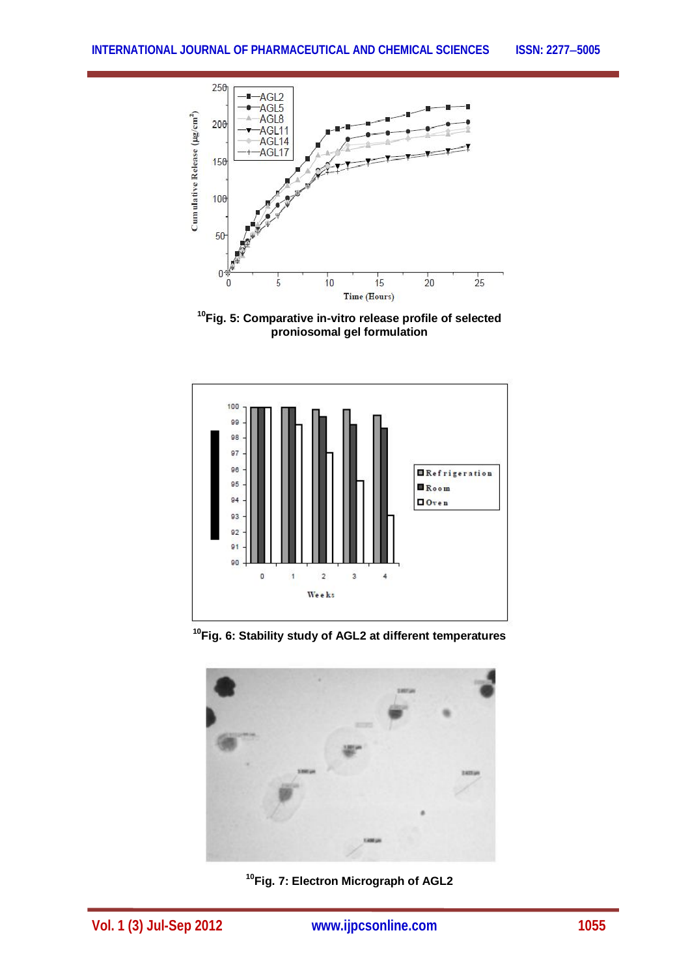

**<sup>10</sup>Fig. 5: Comparative in-vitro release profile of selected proniosomal gel formulation**



**<sup>10</sup>Fig. 6: Stability study of AGL2 at different temperatures**



**<sup>10</sup>Fig. 7: Electron Micrograph of AGL2**